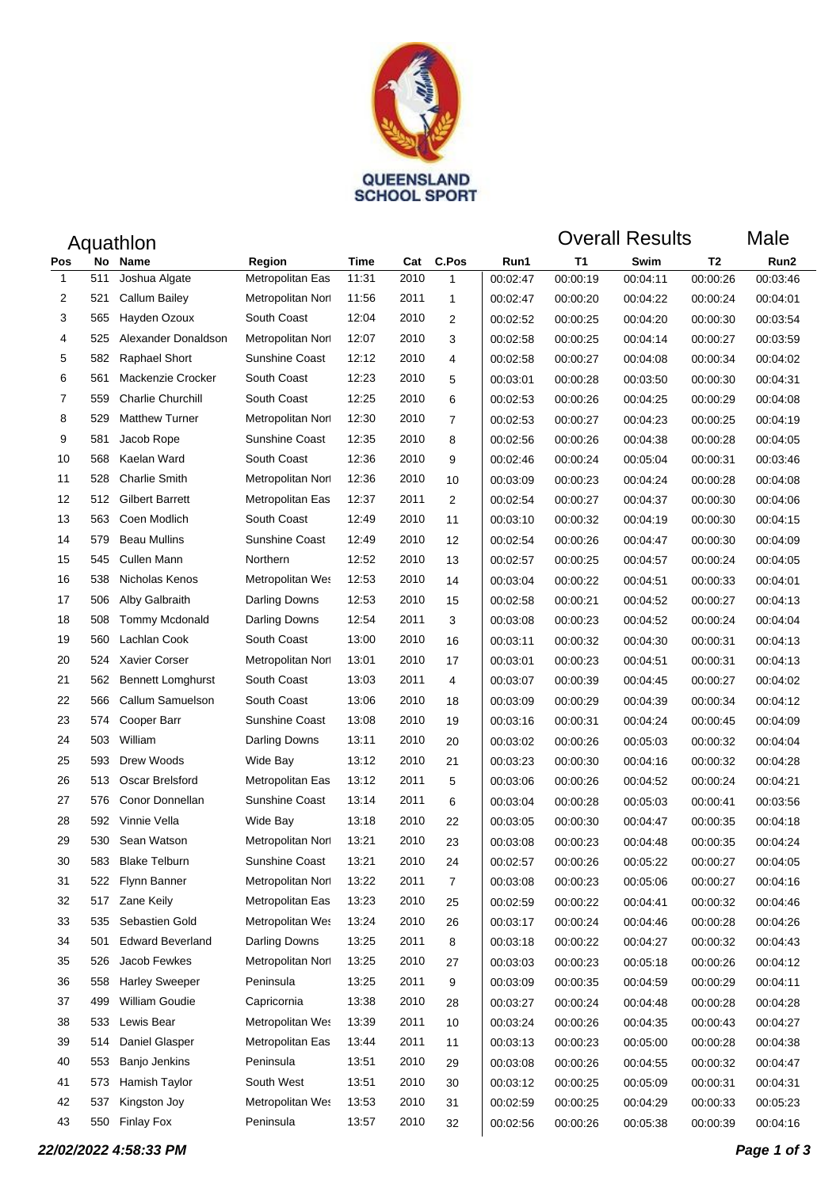

| Aquathlon      |     |                          |                       |       |      |                |          | <b>Overall Results</b> |          |                | Male     |
|----------------|-----|--------------------------|-----------------------|-------|------|----------------|----------|------------------------|----------|----------------|----------|
| Pos            | No  | Name                     | Region                | Time  | Cat  | C.Pos          | Run1     | <b>T1</b>              | Swim     | T <sub>2</sub> | Run2     |
| $\mathbf{1}$   | 511 | Joshua Algate            | Metropolitan Eas      | 11:31 | 2010 | $\mathbf{1}$   | 00:02:47 | 00:00:19               | 00:04:11 | 00:00:26       | 00:03:46 |
| 2              | 521 | Callum Bailey            | Metropolitan Nort     | 11:56 | 2011 | $\mathbf{1}$   | 00:02:47 | 00:00:20               | 00:04:22 | 00:00:24       | 00:04:01 |
| 3              | 565 | Hayden Ozoux             | South Coast           | 12:04 | 2010 | 2              | 00:02:52 | 00:00:25               | 00:04:20 | 00:00:30       | 00:03:54 |
| 4              | 525 | Alexander Donaldson      | Metropolitan Nort     | 12:07 | 2010 | 3              | 00:02:58 | 00:00:25               | 00:04:14 | 00:00:27       | 00:03:59 |
| 5              | 582 | <b>Raphael Short</b>     | Sunshine Coast        | 12:12 | 2010 | 4              | 00:02:58 | 00:00:27               | 00:04:08 | 00:00:34       | 00:04:02 |
| 6              | 561 | Mackenzie Crocker        | South Coast           | 12:23 | 2010 | 5              | 00:03:01 | 00:00:28               | 00:03:50 | 00:00:30       | 00:04:31 |
| $\overline{7}$ | 559 | <b>Charlie Churchill</b> | South Coast           | 12:25 | 2010 | 6              | 00:02:53 | 00:00:26               | 00:04:25 | 00:00:29       | 00:04:08 |
| 8              | 529 | <b>Matthew Turner</b>    | Metropolitan Nort     | 12:30 | 2010 | $\overline{7}$ | 00:02:53 | 00:00:27               | 00:04:23 | 00:00:25       | 00:04:19 |
| 9              | 581 | Jacob Rope               | Sunshine Coast        | 12:35 | 2010 | 8              | 00:02:56 | 00:00:26               | 00:04:38 | 00:00:28       | 00:04:05 |
| 10             | 568 | Kaelan Ward              | South Coast           | 12:36 | 2010 | 9              | 00:02:46 | 00:00:24               | 00:05:04 | 00:00:31       | 00:03:46 |
| 11             | 528 | <b>Charlie Smith</b>     | Metropolitan Nort     | 12:36 | 2010 | 10             | 00:03:09 | 00:00:23               | 00:04:24 | 00:00:28       | 00:04:08 |
| 12             | 512 | <b>Gilbert Barrett</b>   | Metropolitan Eas      | 12:37 | 2011 | 2              | 00:02:54 | 00:00:27               | 00:04:37 | 00:00:30       | 00:04:06 |
| 13             | 563 | Coen Modlich             | South Coast           | 12:49 | 2010 | 11             | 00:03:10 | 00:00:32               | 00:04:19 | 00:00:30       | 00:04:15 |
| 14             | 579 | <b>Beau Mullins</b>      | <b>Sunshine Coast</b> | 12:49 | 2010 | 12             | 00:02:54 | 00:00:26               | 00:04:47 | 00:00:30       | 00:04:09 |
| 15             | 545 | <b>Cullen Mann</b>       | Northern              | 12:52 | 2010 | 13             | 00:02:57 | 00:00:25               | 00:04:57 | 00:00:24       | 00:04:05 |
| 16             | 538 | Nicholas Kenos           | Metropolitan Wes      | 12:53 | 2010 | 14             | 00:03:04 | 00:00:22               | 00:04:51 | 00:00:33       | 00:04:01 |
| 17             | 506 | Alby Galbraith           | Darling Downs         | 12:53 | 2010 | 15             | 00:02:58 | 00:00:21               | 00:04:52 | 00:00:27       | 00:04:13 |
| 18             | 508 | <b>Tommy Mcdonald</b>    | Darling Downs         | 12:54 | 2011 | 3              | 00:03:08 | 00:00:23               | 00:04:52 | 00:00:24       | 00:04:04 |
| 19             | 560 | Lachlan Cook             | South Coast           | 13:00 | 2010 | 16             | 00:03:11 | 00:00:32               | 00:04:30 | 00:00:31       | 00:04:13 |
| 20             | 524 | <b>Xavier Corser</b>     | Metropolitan Nort     | 13:01 | 2010 | 17             | 00:03:01 | 00:00:23               | 00:04:51 | 00:00:31       | 00:04:13 |
| 21             | 562 | <b>Bennett Lomghurst</b> | South Coast           | 13:03 | 2011 | 4              | 00:03:07 | 00:00:39               | 00:04:45 | 00:00:27       | 00:04:02 |
| 22             | 566 | Callum Samuelson         | South Coast           | 13:06 | 2010 | 18             | 00:03:09 | 00:00:29               | 00:04:39 | 00:00:34       | 00:04:12 |
| 23             | 574 | Cooper Barr              | Sunshine Coast        | 13:08 | 2010 | 19             | 00:03:16 | 00:00:31               | 00:04:24 | 00:00:45       | 00:04:09 |
| 24             | 503 | William                  | Darling Downs         | 13:11 | 2010 | 20             | 00:03:02 | 00:00:26               | 00:05:03 | 00:00:32       | 00:04:04 |
| 25             | 593 | Drew Woods               | Wide Bay              | 13:12 | 2010 | 21             | 00:03:23 | 00:00:30               | 00:04:16 | 00:00:32       | 00:04:28 |
| 26             | 513 | Oscar Brelsford          | Metropolitan Eas      | 13:12 | 2011 | 5              | 00:03:06 | 00:00:26               | 00:04:52 | 00:00:24       | 00:04:21 |
| 27             | 576 | Conor Donnellan          | Sunshine Coast        | 13:14 | 2011 | 6              | 00:03:04 | 00:00:28               | 00:05:03 | 00:00:41       | 00:03:56 |
| 28             | 592 | Vinnie Vella             | Wide Bay              | 13:18 | 2010 | 22             | 00:03:05 | 00:00:30               | 00:04:47 | 00:00:35       | 00:04:18 |
| 29             | 530 | Sean Watson              | Metropolitan Nort     | 13:21 | 2010 | 23             | 00:03:08 | 00:00:23               | 00:04:48 | 00:00:35       | 00:04:24 |
| 30             | 583 | <b>Blake Telburn</b>     | Sunshine Coast        | 13:21 | 2010 | 24             | 00:02:57 | 00:00:26               | 00:05:22 | 00:00:27       | 00:04:05 |
| 31             | 522 | Flynn Banner             | Metropolitan Nort     | 13:22 | 2011 | $\overline{7}$ | 00:03:08 | 00:00:23               | 00:05:06 | 00:00:27       | 00:04:16 |
| 32             | 517 | Zane Keily               | Metropolitan Eas      | 13:23 | 2010 | 25             | 00:02:59 | 00:00:22               | 00:04:41 | 00:00:32       | 00:04:46 |
| 33             | 535 | Sebastien Gold           | Metropolitan Wes      | 13:24 | 2010 | 26             | 00:03:17 | 00:00:24               | 00:04:46 | 00:00:28       | 00:04:26 |
| 34             | 501 | <b>Edward Beverland</b>  | Darling Downs         | 13:25 | 2011 | 8              | 00:03:18 | 00:00:22               | 00:04:27 | 00:00:32       | 00:04:43 |
| 35             | 526 | Jacob Fewkes             | Metropolitan Nort     | 13:25 | 2010 | 27             | 00:03:03 | 00:00:23               | 00:05:18 | 00:00:26       | 00:04:12 |
| 36             | 558 | <b>Harley Sweeper</b>    | Peninsula             | 13:25 | 2011 | 9              | 00:03:09 | 00:00:35               | 00:04:59 | 00:00:29       | 00:04:11 |
| 37             | 499 | William Goudie           | Capricornia           | 13:38 | 2010 | 28             | 00:03:27 | 00:00:24               | 00:04:48 | 00:00:28       | 00:04:28 |
| 38             | 533 | Lewis Bear               | Metropolitan Wes      | 13:39 | 2011 | 10             | 00:03:24 | 00:00:26               | 00:04:35 | 00:00:43       | 00:04:27 |
| 39             | 514 | Daniel Glasper           | Metropolitan Eas      | 13:44 | 2011 | 11             | 00:03:13 | 00:00:23               | 00:05:00 | 00:00:28       | 00:04:38 |
| 40             | 553 | Banjo Jenkins            | Peninsula             | 13:51 | 2010 | 29             | 00:03:08 | 00:00:26               | 00:04:55 | 00:00:32       | 00:04:47 |
| 41             | 573 | Hamish Taylor            | South West            | 13:51 | 2010 | 30             | 00:03:12 | 00:00:25               | 00:05:09 | 00:00:31       | 00:04:31 |
| 42             | 537 | Kingston Joy             | Metropolitan Wes      | 13:53 | 2010 | 31             | 00:02:59 | 00:00:25               | 00:04:29 | 00:00:33       | 00:05:23 |
| 43             | 550 | <b>Finlay Fox</b>        | Peninsula             | 13:57 | 2010 | 32             | 00:02:56 | 00:00:26               | 00:05:38 | 00:00:39       | 00:04:16 |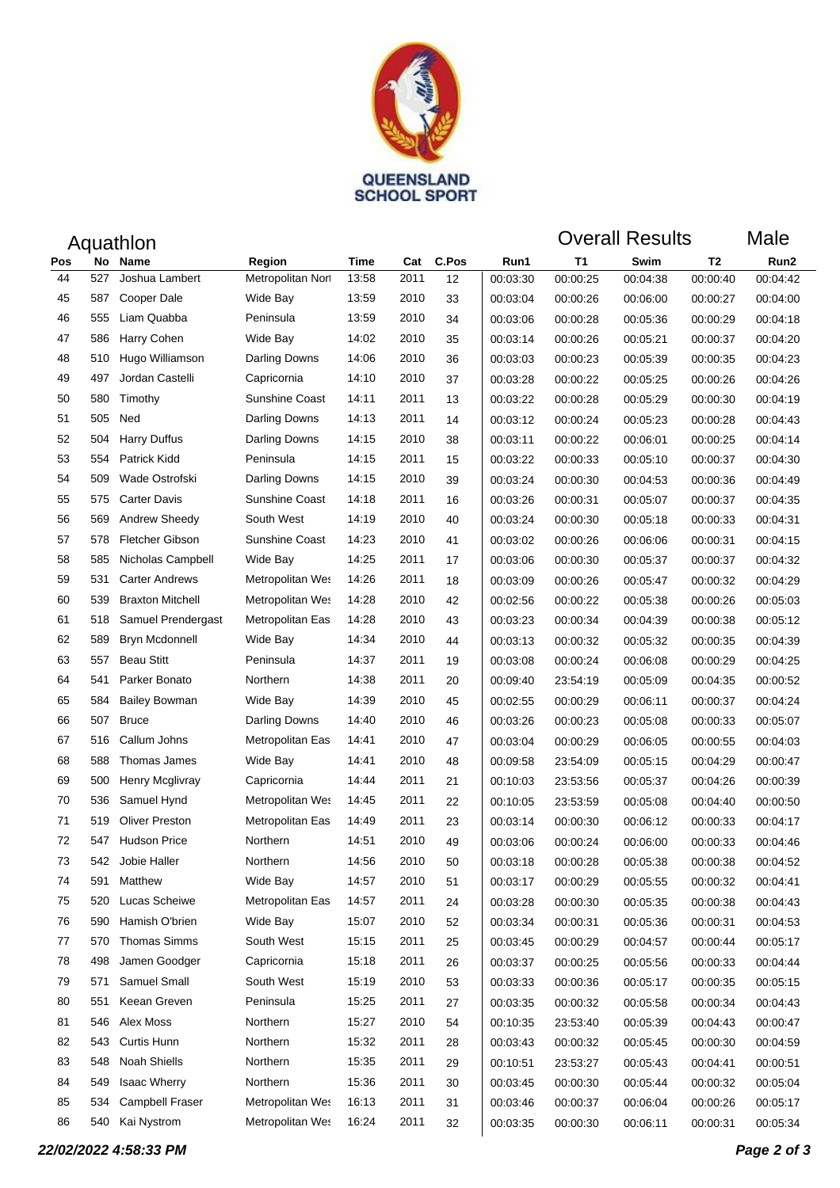

| Aquathlon          |     |                         |                       |       |      |       |          | <b>Overall Results</b> |          |          | Male     |
|--------------------|-----|-------------------------|-----------------------|-------|------|-------|----------|------------------------|----------|----------|----------|
| Pos<br>No.<br>Name |     |                         | Region                | Time  | Cat  | C.Pos | Run1     | Τ1                     | Swim     | T2       | Run2     |
| 44                 | 527 | Joshua Lambert          | Metropolitan Nort     | 13:58 | 2011 | 12    | 00:03:30 | 00:00:25               | 00:04:38 | 00:00:40 | 00:04:42 |
| 45                 | 587 | Cooper Dale             | Wide Bay              | 13:59 | 2010 | 33    | 00:03:04 | 00:00:26               | 00:06:00 | 00:00:27 | 00:04:00 |
| 46                 | 555 | Liam Quabba             | Peninsula             | 13:59 | 2010 | 34    | 00:03:06 | 00:00:28               | 00:05:36 | 00:00:29 | 00:04:18 |
| 47                 | 586 | Harry Cohen             | Wide Bay              | 14:02 | 2010 | 35    | 00:03:14 | 00:00:26               | 00:05:21 | 00:00:37 | 00:04:20 |
| 48                 | 510 | Hugo Williamson         | Darling Downs         | 14:06 | 2010 | 36    | 00:03:03 | 00:00:23               | 00:05:39 | 00:00:35 | 00:04:23 |
| 49                 | 497 | Jordan Castelli         | Capricornia           | 14:10 | 2010 | 37    | 00:03:28 | 00:00:22               | 00:05:25 | 00:00:26 | 00:04:26 |
| 50                 | 580 | Timothy                 | <b>Sunshine Coast</b> | 14:11 | 2011 | 13    | 00:03:22 | 00:00:28               | 00:05:29 | 00:00:30 | 00:04:19 |
| 51                 | 505 | Ned                     | Darling Downs         | 14:13 | 2011 | 14    | 00:03:12 | 00:00:24               | 00:05:23 | 00:00:28 | 00:04:43 |
| 52                 | 504 | <b>Harry Duffus</b>     | Darling Downs         | 14:15 | 2010 | 38    | 00:03:11 | 00:00:22               | 00:06:01 | 00:00:25 | 00:04:14 |
| 53                 | 554 | Patrick Kidd            | Peninsula             | 14:15 | 2011 | 15    | 00:03:22 | 00:00:33               | 00:05:10 | 00:00:37 | 00:04:30 |
| 54                 | 509 | Wade Ostrofski          | Darling Downs         | 14:15 | 2010 | 39    | 00:03:24 | 00:00:30               | 00:04:53 | 00:00:36 | 00:04:49 |
| 55                 | 575 | <b>Carter Davis</b>     | <b>Sunshine Coast</b> | 14:18 | 2011 | 16    | 00:03:26 | 00:00:31               | 00:05:07 | 00:00:37 | 00:04:35 |
| 56                 | 569 | Andrew Sheedy           | South West            | 14:19 | 2010 | 40    | 00:03:24 | 00:00:30               | 00:05:18 | 00:00:33 | 00:04:31 |
| 57                 | 578 | Fletcher Gibson         | Sunshine Coast        | 14:23 | 2010 | 41    | 00:03:02 | 00:00:26               | 00:06:06 | 00:00:31 | 00:04:15 |
| 58                 | 585 | Nicholas Campbell       | Wide Bay              | 14:25 | 2011 | 17    | 00:03:06 | 00:00:30               | 00:05:37 | 00:00:37 | 00:04:32 |
| 59                 | 531 | <b>Carter Andrews</b>   | Metropolitan Wes      | 14:26 | 2011 | 18    | 00:03:09 | 00:00:26               | 00:05:47 | 00:00:32 | 00:04:29 |
| 60                 | 539 | <b>Braxton Mitchell</b> | Metropolitan Wes      | 14:28 | 2010 | 42    | 00:02:56 | 00:00:22               | 00:05:38 | 00:00:26 | 00:05:03 |
| 61                 | 518 | Samuel Prendergast      | Metropolitan Eas      | 14:28 | 2010 | 43    | 00:03:23 | 00:00:34               | 00:04:39 | 00:00:38 | 00:05:12 |
| 62                 | 589 | <b>Bryn Mcdonnell</b>   | Wide Bay              | 14:34 | 2010 | 44    | 00:03:13 | 00:00:32               | 00:05:32 | 00:00:35 | 00:04:39 |
| 63                 | 557 | <b>Beau Stitt</b>       | Peninsula             | 14:37 | 2011 | 19    | 00:03:08 | 00:00:24               | 00:06:08 | 00:00:29 | 00:04:25 |
| 64                 | 541 | Parker Bonato           | Northern              | 14:38 | 2011 | 20    | 00:09:40 | 23:54:19               | 00:05:09 | 00:04:35 | 00:00:52 |
| 65                 | 584 | <b>Bailey Bowman</b>    | Wide Bay              | 14:39 | 2010 | 45    | 00:02:55 | 00:00:29               | 00:06:11 | 00:00:37 | 00:04:24 |
| 66                 | 507 | <b>Bruce</b>            | Darling Downs         | 14:40 | 2010 | 46    | 00:03:26 | 00:00:23               | 00:05:08 | 00:00:33 | 00:05:07 |
| 67                 | 516 | Callum Johns            | Metropolitan Eas      | 14:41 | 2010 | 47    | 00:03:04 | 00:00:29               | 00:06:05 | 00:00:55 | 00:04:03 |
| 68                 | 588 | Thomas James            | Wide Bay              | 14:41 | 2010 | 48    | 00:09:58 | 23:54:09               | 00:05:15 | 00:04:29 | 00:00:47 |
| 69                 | 500 | Henry Mcglivray         | Capricornia           | 14:44 | 2011 | 21    | 00:10:03 | 23:53:56               | 00:05:37 | 00:04:26 | 00:00:39 |
| 70                 | 536 | Samuel Hynd             | Metropolitan Wes      | 14:45 | 2011 | 22    | 00:10:05 | 23:53:59               | 00:05:08 | 00:04:40 | 00:00:50 |
| 71                 | 519 | <b>Oliver Preston</b>   | Metropolitan Eas      | 14:49 | 2011 | 23    | 00:03:14 | 00:00:30               | 00:06:12 | 00:00:33 | 00:04:17 |
| 72                 |     | 547 Hudson Price        | Northern              | 14:51 | 2010 | 49    | 00:03:06 | 00:00:24               | 00:06:00 | 00:00:33 | 00:04:46 |
| 73                 | 542 | Jobie Haller            | Northern              | 14:56 | 2010 | 50    | 00:03:18 | 00:00:28               | 00:05:38 | 00:00:38 | 00:04:52 |
| 74                 | 591 | Matthew                 | Wide Bay              | 14:57 | 2010 | 51    | 00:03:17 | 00:00:29               | 00:05:55 | 00:00:32 | 00:04:41 |
| 75                 | 520 | Lucas Scheiwe           | Metropolitan Eas      | 14:57 | 2011 | 24    | 00:03:28 | 00:00:30               | 00:05:35 | 00:00:38 | 00:04:43 |
| 76                 | 590 | Hamish O'brien          | Wide Bay              | 15:07 | 2010 | 52    | 00:03:34 | 00:00:31               | 00:05:36 | 00:00:31 | 00:04:53 |
| 77                 | 570 | <b>Thomas Simms</b>     | South West            | 15:15 | 2011 | 25    | 00:03:45 | 00:00:29               | 00:04:57 | 00:00:44 | 00:05:17 |
| 78                 | 498 | Jamen Goodger           | Capricornia           | 15:18 | 2011 | 26    | 00:03:37 | 00:00:25               | 00:05:56 | 00:00:33 | 00:04:44 |
| 79                 | 571 | Samuel Small            | South West            | 15:19 | 2010 | 53    | 00:03:33 | 00:00:36               | 00:05:17 | 00:00:35 | 00:05:15 |
| 80                 | 551 | Keean Greven            | Peninsula             | 15:25 | 2011 | 27    | 00:03:35 | 00:00:32               | 00:05:58 | 00:00:34 | 00:04:43 |
| 81                 | 546 | Alex Moss               | Northern              | 15:27 | 2010 | 54    | 00:10:35 | 23:53:40               | 00:05:39 | 00:04:43 | 00:00:47 |
| 82                 | 543 | Curtis Hunn             | Northern              | 15:32 | 2011 | 28    | 00:03:43 | 00:00:32               | 00:05:45 | 00:00:30 | 00:04:59 |
| 83                 | 548 | <b>Noah Shiells</b>     | Northern              | 15:35 | 2011 | 29    | 00:10:51 | 23:53:27               | 00:05:43 | 00:04:41 | 00:00:51 |
| 84                 | 549 | <b>Isaac Wherry</b>     | Northern              | 15:36 | 2011 | 30    | 00:03:45 | 00:00:30               | 00:05:44 | 00:00:32 | 00:05:04 |
| 85                 | 534 | Campbell Fraser         | Metropolitan Wes      | 16:13 | 2011 | 31    | 00:03:46 | 00:00:37               | 00:06:04 | 00:00:26 | 00:05:17 |
| 86                 | 540 | Kai Nystrom             | Metropolitan Wes      | 16:24 | 2011 | 32    | 00:03:35 | 00:00:30               | 00:06:11 | 00:00:31 | 00:05:34 |